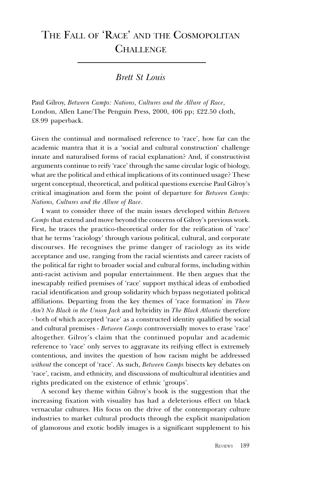# THE FALL OF 'RACE' AND THE COSMOPOLITAN **CHALLENGE**

Brett St Louis

Paul Gilroy, Between Camps: Nations, Cultures and the Allure of Race, London, Allen Lane/The Penguin Press, 2000, 406 pp; £22.50 cloth, £8.99 paperback.

Given the continual and normalised reference to 'race', how far can the academic mantra that it is a 'social and cultural construction' challenge innate and naturalised forms of racial explanation? And, if constructivist arguments continue to reify 'race' through the same circular logic of biology, what are the political and ethical implications of its continued usage? These urgent conceptual, theoretical, and political questions exercise Paul Gilroy's critical imagination and form the point of departure for Between Camps: Nations, Cultures and the Allure of Race.

I want to consider three of the main issues developed within Between Camps that extend and move beyond the concerns of Gilroy's previous work. First, he traces the practico-theoretical order for the reification of 'race' that he terms 'raciology' through various political, cultural, and corporate discourses. He recognises the prime danger of raciology as its wide acceptance and use, ranging from the racial scientists and career racists of the political far right to broader social and cultural forms, including within anti-racist activism and popular entertainment. He then argues that the inescapably reified premises of 'race' support mythical ideas of embodied racial identification and group solidarity which bypass negotiated political affiliations. Departing from the key themes of 'race formation' in There Ain't No Black in the Union Jack and hybridity in The Black Atlantic therefore - both of which accepted 'race' as a constructed identity qualified by social and cultural premises - Between Camps controversially moves to erase 'race' altogether. Gilroy's claim that the continued popular and academic reference to 'race' only serves to aggravate its reifying effect is extremely contentious, and invites the question of how racism might be addressed without the concept of 'race'. As such, Between Camps bisects key debates on race, racism, and ethnicity, and discussions of multicultural identities and rights predicated on the existence of ethnic 'groups'.

A second key theme within Gilroy's book is the suggestion that the increasing fixation with visuality has had a deleterious effect on black vernacular cultures. His focus on the drive of the contemporary culture industries to market cultural products through the explicit manipulation of glamorous and exotic bodily images is a significant supplement to his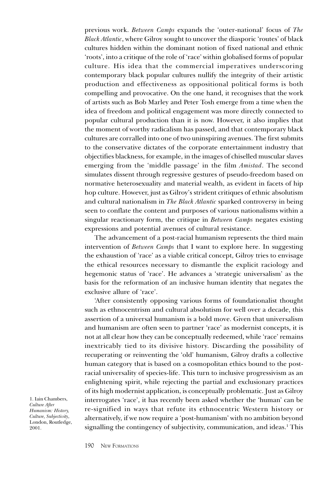previous work. Between Camps expands the 'outer-national' focus of The Black Atlantic, where Gilroy sought to uncover the diasporic 'routes' of black cultures hidden within the dominant notion of fixed national and ethnic 'roots', into a critique of the role of 'race' within globalised forms of popular culture. His idea that the commercial imperatives underscoring contemporary black popular cultures nullify the integrity of their artistic production and effectiveness as oppositional political forms is both compelling and provocative. On the one hand, it recognises that the work of artists such as Bob Marley and Peter Tosh emerge from a time when the idea of freedom and political engagement was more directly connected to popular cultural production than it is now. However, it also implies that the moment of worthy radicalism has passed, and that contemporary black cultures are corralled into one of two uninspiring avenues. The first submits to the conservative dictates of the corporate entertainment industry that objectifies blackness, for example, in the images of chiselled muscular slaves emerging from the 'middle passage' in the film *Amistad*. The second simulates dissent through regressive gestures of pseudo-freedom based on normative heterosexuality and material wealth, as evident in facets of hip hop culture. However, just as Gilroy's strident critiques of ethnic absolutism and cultural nationalism in The Black Atlantic sparked controversy in being seen to conflate the content and purposes of various nationalisms within a singular reactionary form, the critique in *Between Camps* negates existing expressions and potential avenues of cultural resistance.

The advancement of a post-racial humanism represents the third main intervention of Between Camps that I want to explore here. In suggesting the exhaustion of 'race' as a viable critical concept, Gilroy tries to envisage the ethical resources necessary to dismantle the explicit raciology and hegemonic status of 'race'. He advances a 'strategic universalism' as the basis for the reformation of an inclusive human identity that negates the exclusive allure of 'race'.

After consistently opposing various forms of foundationalist thought such as ethnocentrism and cultural absolutism for well over a decade, this assertion of a universal humanism is a bold move. Given that universalism and humanism are often seen to partner 'race' as modernist concepts, it is not at all clear how they can be conceptually redeemed, while 'race' remains inextricably tied to its divisive history. Discarding the possibility of recuperating or reinventing the 'old' humanism, Gilroy drafts a collective human category that is based on a cosmopolitan ethics bound to the postracial universality of species-life. This turn to inclusive progressivism as an enlightening spirit, while rejecting the partial and exclusionary practices of its high modernist application, is conceptually problematic. Just as Gilroy interrogates 'race', it has recently been asked whether the 'human' can be re-signified in ways that refute its ethnocentric Western history or alternatively, if we now require a 'post-humanism' with no ambition beyond signalling the contingency of subjectivity, communication, and ideas.1 This

1. Iain Chambers, Culture After Humanism: History, Culture, Subjectivity, London, Routledge, 2001.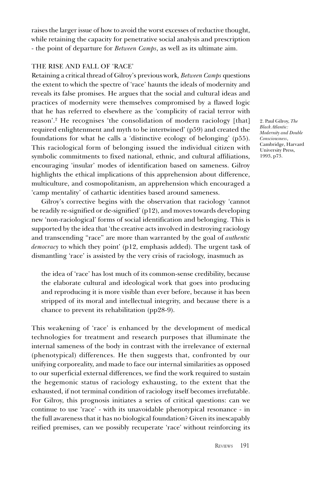raises the larger issue of how to avoid the worst excesses of reductive thought, while retaining the capacity for penetrative social analysis and prescription - the point of departure for Between Camps, as well as its ultimate aim.

#### THE RISE AND FALL OF 'RACE'

Retaining a critical thread of Gilroy's previous work, Between Camps questions the extent to which the spectre of 'race' haunts the ideals of modernity and reveals its false promises. He argues that the social and cultural ideas and practices of modernity were themselves compromised by a flawed logic that he has referred to elsewhere as the 'complicity of racial terror with reason'.<sup>2</sup> He recognises 'the consolidation of modern raciology [that] required enlightenment and myth to be intertwined' (p59) and created the foundations for what he calls a 'distinctive ecology of belonging' (p55). This raciological form of belonging issued the individual citizen with symbolic commitments to fixed national, ethnic, and cultural affiliations, encouraging 'insular' modes of identification based on sameness. Gilroy highlights the ethical implications of this apprehension about difference, multiculture, and cosmopolitanism, an apprehension which encouraged a 'camp mentality' of cathartic identities based around sameness.

Gilroy's corrective begins with the observation that raciology 'cannot be readily re-signified or de-signified' (p12), and moves towards developing new 'non-raciological' forms of social identification and belonging. This is supported by the idea that 'the creative acts involved in destroying raciology and transcending "race" are more than warranted by the goal of *authentic* democracy to which they point' (p12, emphasis added). The urgent task of dismantling 'race' is assisted by the very crisis of raciology, inasmuch as

the idea of 'race' has lost much of its common-sense credibility, because the elaborate cultural and ideological work that goes into producing and reproducing it is more visible than ever before, because it has been stripped of its moral and intellectual integrity, and because there is a chance to prevent its rehabilitation (pp28-9).

This weakening of 'race' is enhanced by the development of medical technologies for treatment and research purposes that illuminate the internal sameness of the body in contrast with the irrelevance of external (phenotypical) differences. He then suggests that, confronted by our unifying corporeality, and made to face our internal similarities as opposed to our superficial external differences, we find the work required to sustain the hegemonic status of raciology exhausting, to the extent that the exhausted, if not terminal condition of raciology itself becomes irrefutable. For Gilroy, this prognosis initiates a series of critical questions: can we continue to use 'race' - with its unavoidable phenotypical resonance - in the full awareness that it has no biological foundation? Given its inescapably reified premises, can we possibly recuperate 'race' without reinforcing its 2. Paul Gilroy, The Black Atlantic: Modernity and Double Consciousness, Cambridge, Harvard University Press, 1993, p73.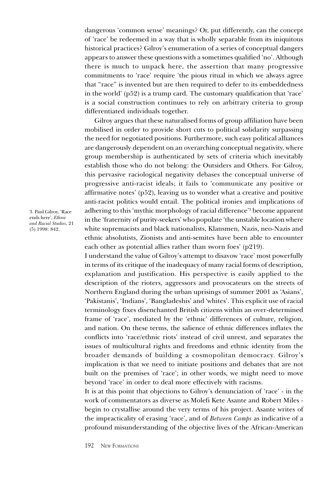dangerous 'common sense' meanings? Or, put differently, can the concept of 'race' be redeemed in a way that is wholly separable from its iniquitous historical practices? Gilroy's enumeration of a series of conceptual dangers appears to answer these questions with a sometimes qualified 'no'. Although there is much to unpack here, the assertion that many progressive commitments to 'race' require 'the pious ritual in which we always agree that "race" is invented but are then required to defer to its embeddedness in the world'  $(p52)$  is a trump card. The customary qualification that 'race' is a social construction continues to rely on arbitrary criteria to group differentiated individuals together.

Gilroy argues that these naturalised forms of group affiliation have been mobilised in order to provide short cuts to political solidarity surpassing the need for negotiated positions. Furthermore, such easy political alliances are dangerously dependent on an overarching conceptual negativity, where group membership is authenticated by sets of criteria which inevitably establish those who do not belong: the Outsiders and Others. For Gilroy, this pervasive raciological negativity debases the conceptual universe of progressive anti-racist ideals; it fails to 'communicate any positive or affirmative notes' (p52), leaving us to wonder what a creative and positive anti-racist politics would entail. The political ironies and implications of adhering to this 'mythic morphology of racial difference'<sup>3</sup> become apparent in the 'fraternity of purity-seekers' who populate 'the unstable location where white supremacists and black nationalists, Klansmen, Nazis, neo-Nazis and ethnic absolutists, Zionists and anti-semites have been able to encounter each other as potential allies rather than sworn foes'  $(p219)$ .

I understand the value of Gilroy's attempt to disavow 'race' most powerfully in terms of its critique of the inadequacy of many racial forms of description, explanation and justification. His perspective is easily applied to the description of the rioters, aggressors and provocateurs on the streets of Northern England during the urban uprisings of summer 2001 as 'Asians', 'Pakistanis', 'Indians', 'Bangladeshis' and 'whites'. This explicit use of racial terminology fixes disenchanted British citizens within an over-determined frame of 'race', mediated by the 'ethnic' differences of culture, religion, and nation. On these terms, the salience of ethnic differences inflates the conflicts into 'race/ethnic riots' instead of civil unrest, and separates the issues of multicultural rights and freedoms and ethnic identity from the broader demands of building a cosmopolitan democracy. Gilroy's implication is that we need to initiate positions and debates that are not built on the premises of 'race'; in other words, we might need to move beyond 'race' in order to deal more effectively with racisms.

It is at this point that objections to Gilroy's denunciation of 'race' - in the work of commentators as diverse as Molefi Kete Asante and Robert Miles begin to crystallise around the very terms of his project. Asante writes of the impracticality of erasing 'race', and of Between Camps as indicative of a profound misunderstanding of the objective lives of the African-American

3. Paul Gilroy, Race ends here', Ethnic and Racial Studies, 21 (5) 1998: 842.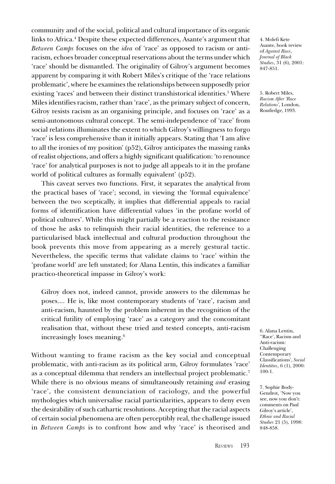community and of the social, political and cultural importance of its organic links to Africa.<sup>4</sup> Despite these expected differences, Asante's argument that Between Camps focuses on the idea of 'race' as opposed to racism or antiracism, echoes broader conceptual reservations about the terms under which 'race' should be dismantled. The originality of Gilroy's argument becomes apparent by comparing it with Robert Miles's critique of the 'race relations problematic', where he examines the relationships between supposedly prior existing 'races' and between their distinct transhistorical identities.<sup>5</sup> Where Miles identifies racism, rather than 'race', as the primary subject of concern, Gilroy resists racism as an organising principle, and focuses on 'race' as a semi-autonomous cultural concept. The semi-independence of 'race' from social relations illuminates the extent to which Gilroy's willingness to forgo 'race' is less comprehensive than it initially appears. Stating that 'I am alive to all the ironies of my position'  $(p52)$ , Gilroy anticipates the massing ranks of realist objections, and offers a highly significant qualification: to renounce 'race' for analytical purposes is not to judge all appeals to it in the profane world of political cultures as formally equivalent' (p52).

This caveat serves two functions. First, it separates the analytical from the practical bases of 'race'; second, in viewing the 'formal equivalence' between the two sceptically, it implies that differential appeals to racial forms of identification have differential values 'in the profane world of political cultures'. While this might partially be a reaction to the resistance of those he asks to relinquish their racial identities, the reference to a particularised black intellectual and cultural production throughout the book prevents this move from appearing as a merely gestural tactic. Nevertheless, the specific terms that validate claims to 'race' within the 'profane world' are left unstated; for Alana Lentin, this indicates a familiar practico-theoretical impasse in Gilroy's work:

Gilroy does not, indeed cannot, provide answers to the dilemmas he poses.... He is, like most contemporary students of 'race', racism and anti-racism, haunted by the problem inherent in the recognition of the critical futility of employing 'race' as a category and the concomitant realisation that, without these tried and tested concepts, anti-racism increasingly loses meaning.6

Without wanting to frame racism as the key social and conceptual problematic, with anti-racism as its political arm, Gilroy formulates 'race' as a conceptual dilemma that renders an intellectual project problematic.7 While there is no obvious means of simultaneously retaining *and* erasing 'race', the consistent denunciation of raciology, and the powerful mythologies which universalise racial particularities, appears to deny even the desirability of such cathartic resolutions. Accepting that the racial aspects of certain social phenomena are often perceptibly real, the challenge issued in Between Camps is to confront how and why 'race' is theorised and

4. Molefi Kete Asante, book review of Against Race, Journal of Black Studies, 31 (6), 2001: 847-851.

5. Robert Miles, Racism After 'Race Relations', London, Routledge, 1993.

6. Alana Lentin, "Race', Racism and Anti-racism: Challenging Contemporary Classifications', Social Identities, 6 (1), 2000: 100-1.

7. Sophie Body-Gendrot, Now you see, now you don't: comments on Paul Gilroy's article', Ethnic and Racial Studies 21 (5), 1998: 848-858.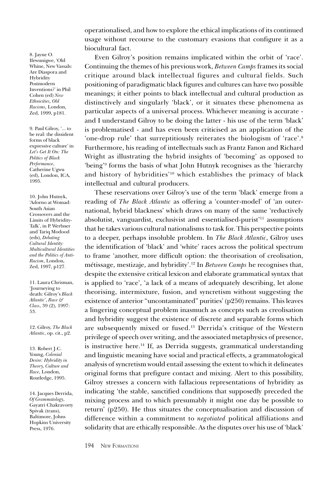operationalised, and how to explore the ethical implications of its continued usage without recourse to the customary evasions that configure it as a biocultural fact.

Even Gilroy's position remains implicated within the orbit of 'race'. Continuing the themes of his previous work, Between Camps frames its social critique around black intellectual figures and cultural fields. Such positioning of paradigmatic black figures and cultures can have two possible meanings; it either points to black intellectual and cultural production as distinctively and singularly black, or it situates these phenomena as particular aspects of a universal process. Whichever meaning is accurate and I understand Gilroy to be doing the latter - his use of the term black is problematised - and has even been criticised as an application of the 'one-drop rule' that surreptitiously reiterates the biologism of 'race'.<sup>8</sup> Furthermore, his reading of intellectuals such as Frantz Fanon and Richard Wright as illustrating the hybrid insights of 'becoming' as opposed to 'being'<sup>9</sup> forms the basis of what John Hutnyk recognises as the 'hierarchy and history of hybridities'<sup>10</sup> which establishes the primacy of black intellectual and cultural producers.

These reservations over Gilroy's use of the term 'black' emerge from a reading of The Black Atlantic as offering a 'counter-model' of 'an outernational, hybrid blackness' which draws on many of the same 'reductively absolutist, vanguardist, exclusivist and essentialised-purist<sup>'11</sup> assumptions that he takes various cultural nationalisms to task for. This perspective points to a deeper, perhaps insoluble problem. In The Black Atlantic, Gilroy uses the identification of 'black' and 'white' races across the political spectrum to frame 'another, more difficult option: the theorisation of creolisation, métissage, mestizaje, and hybridity'.<sup>12</sup> In Between Camps he recognises that, despite the extensive critical lexicon and elaborate grammatical syntax that is applied to 'race', 'a lack of a means of adequately describing, let alone theorising, intermixture, fusion, and syncretism without suggesting the existence of anterior "uncontaminated" purities' ( $p250$ ) remains. This leaves a lingering conceptual problem inasmuch as concepts such as creolisation and hybridity suggest the existence of discrete and separable forms which are subsequently mixed or fused.<sup>13</sup> Derrida's critique of the Western privilege of speech over writing, and the associated metaphysics of presence, is instructive here.<sup>14</sup> If, as Derrida suggests, grammatical understanding and linguistic meaning have social and practical effects, a grammatological analysis of syncretism would entail assessing the extent to which it delineates original forms that prefigure contact and mixing. Alert to this possibility, Gilroy stresses a concern with fallacious representations of hybridity as indicating 'the stable, sanctified conditions that supposedly preceded the mixing process and to which presumably it might one day be possible to return' ( $p250$ ). He thus situates the conceptualisation and discussion of difference within a commitment to negotiated political affiliations and solidarity that are ethically responsible. As the disputes over his use of 'black'

8. Jayne O. Ifewunigwe, Old Whine, New Vassals: Are Diaspora and Hybridity Postmodern Inventions? in Phil Cohen (ed) New Ethnicities, Old Racisms, London, Zed, 1999, p181.

9. Paul Gilroy, '... to be real: the dissident forms of black expressive culture' in Let's Get It On: The Politics of Black Performance, Catherine Ugwu (ed), London, ICA, 1995.

10. John Hutnyk, Adorno at Womad: South Asian Crossovers and the Limits of Hybridity-Talk, in P. Werbner and Tariq Modood (eds), Debating Cultural Identity: Multicultural Identities and the Politics of Anti-Racism, London, Zed, 1997, p127.

11. Laura Chrisman, Journeying to death: Gilroy's Black Atlantic', Race & Class, 39 (2), 1997: 53.

12. Gilroy, The Black Atlantic, op. cit., p2.

13. Robert J.C. Young, Colonial Desire: Hybridity in Theory, Culture and Race, London, Routledge, 1995.

14. Jacques Derrida, Of Grammatology, Gayatri Chakravorty Spivak (trans), Baltimore, Johns Hopkins University Press, 1976.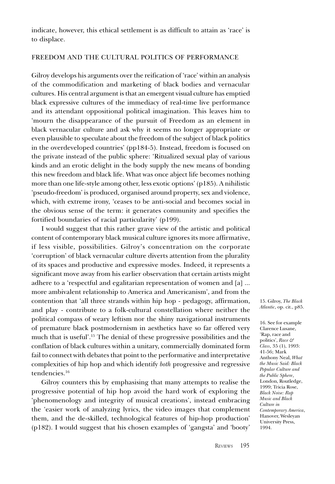indicate, however, this ethical settlement is as difficult to attain as 'race' is to displace.

#### FREEDOM AND THE CULTURAL POLITICS OF PERFORMANCE

Gilroy develops his arguments over the reification of 'race' within an analysis of the commodification and marketing of black bodies and vernacular cultures. His central argument is that an emergent visual culture has emptied black expressive cultures of the immediacy of real-time live performance and its attendant oppositional political imagination. This leaves him to mourn the disappearance of the pursuit of Freedom as an element in black vernacular culture and ask why it seems no longer appropriate or even plausible to speculate about the freedom of the subject of black politics in the overdeveloped countries' (pp184-5). Instead, freedom is focused on the private instead of the public sphere: 'Ritualized sexual play of various kinds and an erotic delight in the body supply the new means of bonding this new freedom and black life. What was once abject life becomes nothing more than one life-style among other, less exotic options' (p185). A nihilistic pseudo-freedom is produced, organised around property, sex and violence, which, with extreme irony, 'ceases to be anti-social and becomes social in the obvious sense of the term: it generates community and specifies the fortified boundaries of racial particularity' (p199).

I would suggest that this rather grave view of the artistic and political content of contemporary black musical culture ignores its more affirmative, if less visible, possibilities. Gilroy's concentration on the corporate 'corruption' of black vernacular culture diverts attention from the plurality of its spaces and productive and expressive modes. Indeed, it represents a significant move away from his earlier observation that certain artists might adhere to a 'respectful and egalitarian representation of women and [a] ... more ambivalent relationship to America and Americanism', and from the contention that 'all three strands within hip hop - pedagogy, affirmation, and play - contribute to a folk-cultural constellation where neither the political compass of weary leftism nor the shiny navigational instruments of premature black postmodernism in aesthetics have so far offered very much that is useful'.<sup>15</sup> The denial of these progressive possibilities and the conflation of black cultures within a unitary, commercially dominated form fail to connect with debates that point to the performative and interpretative complexities of hip hop and which identify both progressive and regressive tendencies.16

Gilroy counters this by emphasising that many attempts to realise the progressive potential of hip hop avoid the hard work of exploring the phenomenology and integrity of musical creations', instead embracing the 'easier work of analyzing lyrics, the video images that complement them, and the de-skilled, technological features of hip-hop production  $(p182)$ . I would suggest that his chosen examples of 'gangsta' and 'booty'

15. Gilroy, The Black Atlantic, op. cit., p85.

16. See for example Clarence Lusane, Rap, race and politics', Race & Class, 35 (1), 1993: 41-56; Mark Anthony Neal, What the Music Said: Black Popular Culture and the Public Sphere, London, Routledge, 1999; Tricia Rose, Black Noise: Rap Music and Black Culture in Contemporary America, Hanover, Wesleyan University Press, 1994.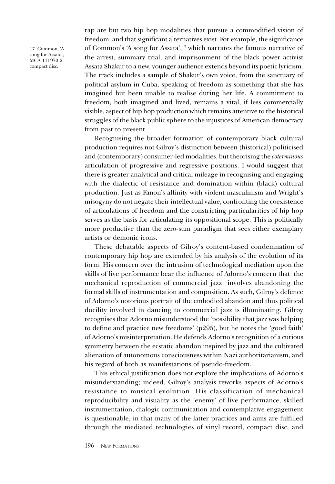17. Common, A song for Assata', MCA 111970-2 compact disc.

rap are but two hip hop modalities that pursue a commodified vision of freedom, and that significant alternatives exist. For example, the significance of Common's 'A song for Assata',<sup>17</sup> which narrates the famous narrative of the arrest, summary trial, and imprisonment of the black power activist Assata Shakur to a new, younger audience extends beyond its poetic lyricism. The track includes a sample of Shakur's own voice, from the sanctuary of political asylum in Cuba, speaking of freedom as something that she has imagined but been unable to realise during her life. A commitment to freedom, both imagined and lived, remains a vital, if less commercially visible, aspect of hip hop production which remains attentive to the historical struggles of the black public sphere to the injustices of American democracy from past to present.

Recognising the broader formation of contemporary black cultural production requires not Gilroy's distinction between (historical) politicised and (contemporary) consumer-led modalities, but theorising the coterminous articulation of progressive and regressive positions. I would suggest that there is greater analytical and critical mileage in recognising and engaging with the dialectic of resistance and domination within (black) cultural production. Just as Fanon's affinity with violent masculinism and Wright's misogyny do not negate their intellectual value, confronting the coexistence of articulations of freedom and the constricting particularities of hip hop serves as the basis for articulating its oppositional scope. This is politically more productive than the zero-sum paradigm that sees either exemplary artists or demonic icons.

These debatable aspects of Gilroy's content-based condemnation of contemporary hip hop are extended by his analysis of the evolution of its form. His concern over the intrusion of technological mediation upon the skills of live performance bear the influence of Adorno's concern that the mechanical reproduction of commercial jazz involves abandoning the formal skills of instrumentation and composition. As such, Gilroy's defence of Adorno's notorious portrait of the embodied abandon and thus political docility involved in dancing to commercial jazz is illuminating. Gilroy recognises that Adorno misunderstood the 'possibility that jazz was helping to define and practice new freedoms' (p295), but he notes the 'good faith' of Adorno's misinterpretation. He defends Adorno's recognition of a curious symmetry between the ecstatic abandon inspired by jazz and the cultivated alienation of autonomous consciousness within Nazi authoritarianism, and his regard of both as manifestations of pseudo-freedom.

This ethical justification does not explore the implications of Adorno's misunderstanding; indeed, Gilroy's analysis reworks aspects of Adorno's resistance to musical evolution. His classification of mechanical reproducibility and visuality as the 'enemy' of live performance, skilled instrumentation, dialogic communication and contemplative engagement is questionable, in that many of the latter practices and aims are fulfilled through the mediated technologies of vinyl record, compact disc, and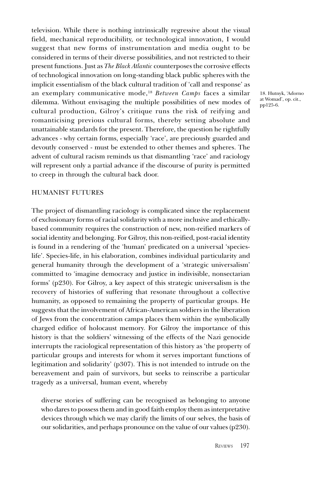television. While there is nothing intrinsically regressive about the visual field, mechanical reproducibility, or technological innovation, I would suggest that new forms of instrumentation and media ought to be considered in terms of their diverse possibilities, and not restricted to their present functions. Just as The Black Atlantic counterposes the corrosive effects of technological innovation on long-standing black public spheres with the implicit essentialism of the black cultural tradition of 'call and response' as an exemplary communicative mode,<sup>18</sup> Between Camps faces a similar dilemma. Without envisaging the multiple possibilities of new modes of cultural production, Gilroy's critique runs the risk of reifying and romanticising previous cultural forms, thereby setting absolute and unattainable standards for the present. Therefore, the question he rightfully advances - why certain forms, especially 'race', are preciously guarded and devoutly conserved - must be extended to other themes and spheres. The advent of cultural racism reminds us that dismantling 'race' and raciology will represent only a partial advance if the discourse of purity is permitted to creep in through the cultural back door.

#### HUMANIST FUTURES

The project of dismantling raciology is complicated since the replacement of exclusionary forms of racial solidarity with a more inclusive and ethicallybased community requires the construction of new, non-reified markers of social identity and belonging. For Gilroy, this non-reified, post-racial identity is found in a rendering of the 'human' predicated on a universal 'specieslife. Species-life, in his elaboration, combines individual particularity and general humanity through the development of a 'strategic universalism' committed to 'imagine democracy and justice in indivisible, nonsectarian forms' (p230). For Gilroy, a key aspect of this strategic universalism is the recovery of histories of suffering that resonate throughout a collective humanity, as opposed to remaining the property of particular groups. He suggests that the involvement of African-American soldiers in the liberation of Jews from the concentration camps places them within the symbolically charged edifice of holocaust memory. For Gilroy the importance of this history is that the soldiers' witnessing of the effects of the Nazi genocide interrupts the raciological representation of this history as 'the property of particular groups and interests for whom it serves important functions of legitimation and solidarity' (p307). This is not intended to intrude on the bereavement and pain of survivors, but seeks to reinscribe a particular tragedy as a universal, human event, whereby

diverse stories of suffering can be recognised as belonging to anyone who dares to possess them and in good faith employ them as interpretative devices through which we may clarify the limits of our selves, the basis of our solidarities, and perhaps pronounce on the value of our values (p230).

18. Hutnyk, Adorno at Womad', op. cit., pp125-6.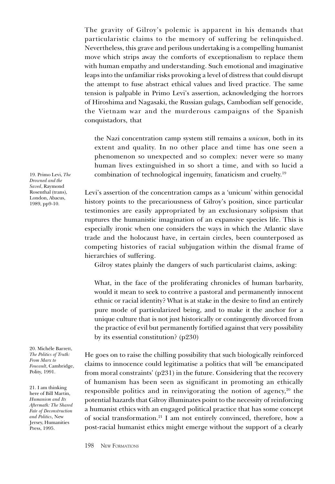The gravity of Gilroy's polemic is apparent in his demands that particularistic claims to the memory of suffering be relinquished. Nevertheless, this grave and perilous undertaking is a compelling humanist move which strips away the comforts of exceptionalism to replace them with human empathy and understanding. Such emotional and imaginative leaps into the unfamiliar risks provoking a level of distress that could disrupt the attempt to fuse abstract ethical values and lived practice. The same tension is palpable in Primo Levis assertion, acknowledging the horrors of Hiroshima and Nagasaki, the Russian gulags, Cambodian self genocide, the Vietnam war and the murderous campaigns of the Spanish conquistadors, that

the Nazi concentration camp system still remains a unicum, both in its extent and quality. In no other place and time has one seen a phenomenon so unexpected and so complex: never were so many human lives extinguished in so short a time, and with so lucid a combination of technological ingenuity, fanaticism and cruelty.19

Levi's assertion of the concentration camps as a 'unicum' within genocidal history points to the precariousness of Gilroy's position, since particular testimonies are easily appropriated by an exclusionary solipsism that ruptures the humanistic imagination of an expansive species life. This is especially ironic when one considers the ways in which the Atlantic slave trade and the holocaust have, in certain circles, been counterposed as competing histories of racial subjugation within the dismal frame of hierarchies of suffering.

Gilroy states plainly the dangers of such particularist claims, asking:

What, in the face of the proliferating chronicles of human barbarity, would it mean to seek to contrive a pastoral and permanently innocent ethnic or racial identity? What is at stake in the desire to find an entirely pure mode of particularized being, and to make it the anchor for a unique culture that is not just historically or contingently divorced from the practice of evil but permanently fortified against that very possibility by its essential constitution? (p230)

He goes on to raise the chilling possibility that such biologically reinforced claims to innocence could legitimatise a politics that will 'be emancipated from moral constraints' (p231) in the future. Considering that the recovery of humanism has been seen as significant in promoting an ethically responsible politics and in reinvigorating the notion of agency, $20$  the potential hazards that Gilroy illuminates point to the necessity of reinforcing a humanist ethics with an engaged political practice that has some concept of social transformation.21 I am not entirely convinced, therefore, how a post-racial humanist ethics might emerge without the support of a clearly

19. Primo Levi, The Drowned and the Saved, Raymond Rosenthal (trans), London, Abacus, 1989, pp9-10.

20. Michéle Barrett, The Politics of Truth: From Marx to Foucault, Cambridge, Polity, 1991.

21. I am thinking here of Bill Martin, Humanism and Its Aftermath: The Shared Fate of Deconstruction and Politics, New Jersey, Humanities Press, 1995.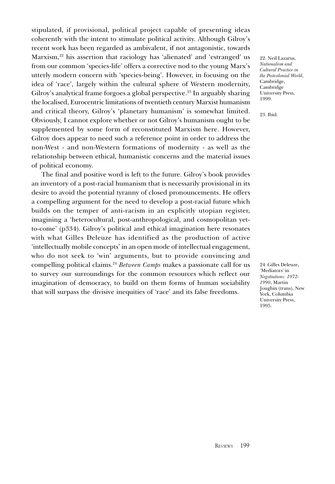stipulated, if provisional, political project capable of presenting ideas coherently with the intent to stimulate political activity. Although Gilroy's recent work has been regarded as ambivalent, if not antagonistic, towards Marxism,<sup>22</sup> his assertion that raciology has 'alienated' and 'estranged' us from our common 'species-life' offers a corrective nod to the young Marx's utterly modern concern with 'species-being'. However, in focusing on the idea of 'race', largely within the cultural sphere of Western modernity, Gilroy's analytical frame forgoes a global perspective.<sup>23</sup> In arguably sharing the localised, Eurocentric limitations of twentieth century Marxist humanism and critical theory, Gilroy's 'planetary humanism' is somewhat limited. Obviously, I cannot explore whether or not Gilroy's humanism ought to be supplemented by some form of reconstituted Marxism here. However, Gilroy does appear to need such a reference point in order to address the non-West - and non-Western formations of modernity - as well as the relationship between ethical, humanistic concerns and the material issues of political economy.

The final and positive word is left to the future. Gilroy's book provides an inventory of a post-racial humanism that is necessarily provisional in its desire to avoid the potential tyranny of closed pronouncements. He offers a compelling argument for the need to develop a post-racial future which builds on the temper of anti-racism in an explicitly utopian register, imagining a heterocultural, post-anthropological, and cosmopolitan yetto-come' (p334). Gilroy's political and ethical imagination here resonates with what Gilles Deleuze has identified as the production of active intellectually mobile concepts' in an open mode of intellectual engagement, who do not seek to 'win' arguments, but to provide convincing and compelling political claims.<sup>24</sup> Between Camps makes a passionate call for us to survey our surroundings for the common resources which reflect our imagination of democracy, to build on them forms of human sociability that will surpass the divisive inequities of 'race' and its false freedoms.

22. Neil Lazarus, Nationalism and Cultural Practice in the Postcolonial World, Cambridge, Cambridge University Press, 1999.

23. Ibid.

24. Gilles Deleuze, 'Mediators' in Negotiations: 1972- 1990, Martin Joughin (trans), New York, Columbia University Press, 1995.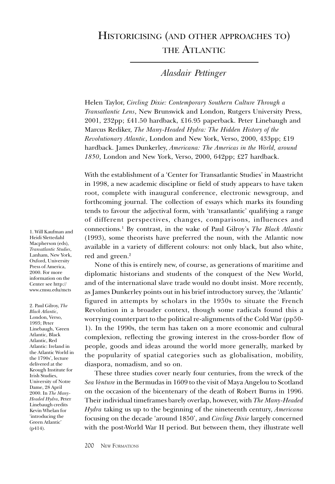## HISTORICISING (AND OTHER APPROACHES TO) THE ATLANTIC

### Alasdair Pettinger

Helen Taylor, Circling Dixie: Contemporary Southern Culture Through a Transatlantic Lens, New Brunswick and London, Rutgers University Press, 2001, 232pp; £41.50 hardback, £16.95 paperback. Peter Linebaugh and Marcus Rediker, The Many-Headed Hydra: The Hidden History of the Revolutionary Atlantic, London and New York, Verso, 2000, 433pp; £19 hardback. James Dunkerley, Americana: The Americas in the World, around 1850, London and New York, Verso, 2000, 642pp; £27 hardback.

With the establishment of a Center for Transatlantic Studies in Maastricht in 1998, a new academic discipline or field of study appears to have taken root, complete with inaugural conference, electronic newsgroup, and forthcoming journal. The collection of essays which marks its founding tends to favour the adjectival form, with 'transatlantic' qualifying a range of different perspectives, changes, comparisons, influences and connections.<sup>1</sup> By contrast, in the wake of Paul Gilroy's *The Black Atlantic* (1993), some theorists have preferred the noun, with the Atlantic now available in a variety of different colours: not only black, but also white, red and green.<sup>2</sup>

None of this is entirely new, of course, as generations of maritime and diplomatic historians and students of the conquest of the New World, and of the international slave trade would no doubt insist. More recently, as James Dunkerley points out in his brief introductory survey, the Atlantic figured in attempts by scholars in the 1950s to situate the French Revolution in a broader context, though some radicals found this a worrying counterpart to the political re-alignments of the Cold War (pp50- 1). In the 1990s, the term has taken on a more economic and cultural complexion, reflecting the growing interest in the cross-border flow of people, goods and ideas around the world more generally, marked by the popularity of spatial categories such as globalisation, mobility, diaspora, nomadism, and so on.

These three studies cover nearly four centuries, from the wreck of the Sea Venture in the Bermudas in 1609 to the visit of Maya Angelou to Scotland on the occasion of the bicentenary of the death of Robert Burns in 1996. Their individual timeframes barely overlap, however, with The Many-Headed Hydra taking us up to the beginning of the nineteenth century, Americana focusing on the decade 'around 1850', and *Circling Dixie* largely concerned with the post-World War II period. But between them, they illustrate well

1. Will Kaufman and Heidi Slettedahl Macpherson (eds), Transatlantic Studies, Lanham, New York, Oxford, University Press of America, 2000. For more information on the Center see http:// www.cmsu.edu/mcts

2. Paul Gilroy, The Black Atlantic, London, Verso, 1993; Peter Linebaugh, Green Atlantic, Black Atlantic, Red Atlantic: Ireland in the Atlantic World in the 1790s', lecture delivered at the Keough Institute for Irish Studies, University of Notre Dame, 28 April 2000. In The Many-Headed Hydra, Peter Linebaugh credits Kevin Whelan for introducing the Green Atlantic (p414).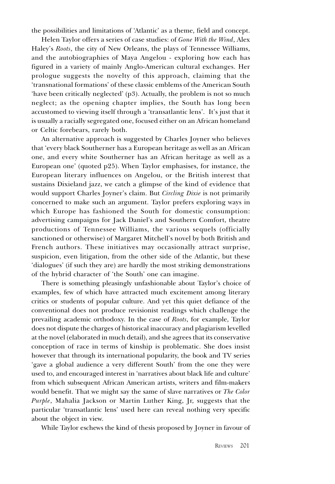the possibilities and limitations of 'Atlantic' as a theme, field and concept.

Helen Taylor offers a series of case studies: of Gone With the Wind, Alex Haley's Roots, the city of New Orleans, the plays of Tennessee Williams, and the autobiographies of Maya Angelou - exploring how each has figured in a variety of mainly Anglo-American cultural exchanges. Her prologue suggests the novelty of this approach, claiming that the 'transnational formations' of these classic emblems of the American South have been critically neglected' (p3). Actually, the problem is not so much neglect; as the opening chapter implies, the South has long been accustomed to viewing itself through a 'transatlantic lens'. It's just that it is usually a racially segregated one, focused either on an African homeland or Celtic forebears, rarely both.

An alternative approach is suggested by Charles Joyner who believes that 'every black Southerner has a European heritage as well as an African one, and every white Southerner has an African heritage as well as a European one' (quoted p25). When Taylor emphasises, for instance, the European literary influences on Angelou, or the British interest that sustains Dixieland jazz, we catch a glimpse of the kind of evidence that would support Charles Joyner's claim. But Circling Dixie is not primarily concerned to make such an argument. Taylor prefers exploring ways in which Europe has fashioned the South for domestic consumption: advertising campaigns for Jack Daniel's and Southern Comfort, theatre productions of Tennessee Williams, the various sequels (officially sanctioned or otherwise) of Margaret Mitchell's novel by both British and French authors. These initiatives may occasionally attract surprise, suspicion, even litigation, from the other side of the Atlantic, but these 'dialogues' (if such they are) are hardly the most striking demonstrations of the hybrid character of 'the South' one can imagine.

There is something pleasingly unfashionable about Taylor's choice of examples, few of which have attracted much excitement among literary critics or students of popular culture. And yet this quiet defiance of the conventional does not produce revisionist readings which challenge the prevailing academic orthodoxy. In the case of Roots, for example, Taylor does not dispute the charges of historical inaccuracy and plagiarism levelled at the novel (elaborated in much detail), and she agrees that its conservative conception of race in terms of kinship is problematic. She does insist however that through its international popularity, the book and TV series 'gave a global audience a very different South' from the one they were used to, and encouraged interest in 'narratives about black life and culture' from which subsequent African American artists, writers and film-makers would benefit. That we might say the same of slave narratives or The Color Purple, Mahalia Jackson or Martin Luther King, Jr, suggests that the particular 'transatlantic lens' used here can reveal nothing very specific about the object in view.

While Taylor eschews the kind of thesis proposed by Joyner in favour of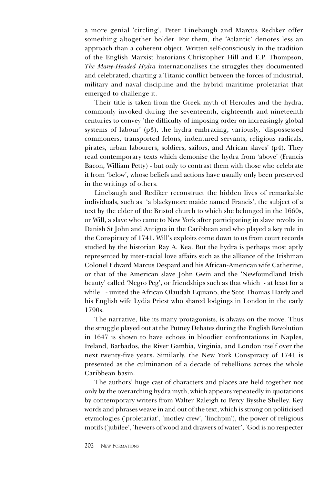a more genial 'circling', Peter Linebaugh and Marcus Rediker offer something altogether bolder. For them, the 'Atlantic' denotes less an approach than a coherent object. Written self-consciously in the tradition of the English Marxist historians Christopher Hill and E.P. Thompson, The Many-Headed Hydra internationalises the struggles they documented and celebrated, charting a Titanic conflict between the forces of industrial, military and naval discipline and the hybrid maritime proletariat that emerged to challenge it.

Their title is taken from the Greek myth of Hercules and the hydra, commonly invoked during the seventeenth, eighteenth and nineteenth centuries to convey the difficulty of imposing order on increasingly global systems of labour' (p3), the hydra embracing, variously, 'dispossessed commoners, transported felons, indentured servants, religious radicals, pirates, urban labourers, soldiers, sailors, and African slaves' (p4). They read contemporary texts which demonise the hydra from 'above' (Francis Bacon, William Petty) - but only to contrast them with those who celebrate it from 'below', whose beliefs and actions have usually only been preserved in the writings of others.

Linebaugh and Rediker reconstruct the hidden lives of remarkable individuals, such as 'a blackymore maide named Francis', the subject of a text by the elder of the Bristol church to which she belonged in the 1660s, or Will, a slave who came to New York after participating in slave revolts in Danish St John and Antigua in the Caribbean and who played a key role in the Conspiracy of 1741. Will's exploits come down to us from court records studied by the historian Ray A. Kea. But the hydra is perhaps most aptly represented by inter-racial love affairs such as the alliance of the Irishman Colonel Edward Marcus Despard and his African-American wife Catherine, or that of the American slave John Gwin and the 'Newfoundland Irish beauty' called 'Negro Peg', or friendships such as that which - at least for a while - united the African Olaudah Equiano, the Scot Thomas Hardy and his English wife Lydia Priest who shared lodgings in London in the early 1790s.

The narrative, like its many protagonists, is always on the move. Thus the struggle played out at the Putney Debates during the English Revolution in 1647 is shown to have echoes in bloodier confrontations in Naples, Ireland, Barbados, the River Gambia, Virginia, and London itself over the next twenty-five years. Similarly, the New York Conspiracy of 1741 is presented as the culmination of a decade of rebellions across the whole Caribbean basin.

The authors' huge cast of characters and places are held together not only by the overarching hydra myth, which appears repeatedly in quotations by contemporary writers from Walter Raleigh to Percy Bysshe Shelley. Key words and phrases weave in and out of the text, which is strong on politicised etymologies ('proletariat', 'motley crew', 'linchpin'), the power of religious motifs ('jubilee', 'hewers of wood and drawers of water', 'God is no respecter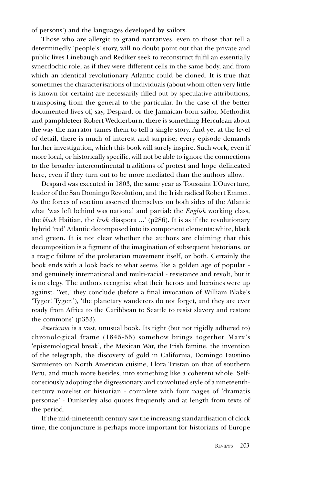of persons) and the languages developed by sailors.

Those who are allergic to grand narratives, even to those that tell a determinedly 'people's' story, will no doubt point out that the private and public lives Linebaugh and Rediker seek to reconstruct fulfil an essentially synecdochic role, as if they were different cells in the same body, and from which an identical revolutionary Atlantic could be cloned. It is true that sometimes the characterisations of individuals (about whom often very little is known for certain) are necessarily filled out by speculative attributions, transposing from the general to the particular. In the case of the better documented lives of, say, Despard, or the Jamaican-born sailor, Methodist and pamphleteer Robert Wedderburn, there is something Herculean about the way the narrator tames them to tell a single story. And yet at the level of detail, there is much of interest and surprise; every episode demands further investigation, which this book will surely inspire. Such work, even if more local, or historically specific, will not be able to ignore the connections to the broader intercontinental traditions of protest and hope delineated here, even if they turn out to be more mediated than the authors allow.

Despard was executed in 1803, the same year as Toussaint LOuverture, leader of the San Domingo Revolution, and the Irish radical Robert Emmet. As the forces of reaction asserted themselves on both sides of the Atlantic what 'was left behind was national and partial: the *English* working class, the black Haitian, the Irish diaspora ...' (p286). It is as if the revolutionary hybrid 'red' Atlantic decomposed into its component elements: white, black and green. It is not clear whether the authors are claiming that this decomposition is a figment of the imagination of subsequent historians, or a tragic failure of the proletarian movement itself, or both. Certainly the book ends with a look back to what seems like a golden age of popular and genuinely international and multi-racial - resistance and revolt, but it is no elegy. The authors recognise what their heroes and heroines were up against. 'Yet,' they conclude (before a final invocation of William Blake's Tyger! Tyger!), the planetary wanderers do not forget, and they are ever ready from Africa to the Caribbean to Seattle to resist slavery and restore the commons'  $(p353)$ .

Americana is a vast, unusual book. Its tight (but not rigidly adhered to)  $chronological frame (1845-55) somehow brings together Marx's$ epistemological break, the Mexican War, the Irish famine, the invention of the telegraph, the discovery of gold in California, Domingo Faustino Sarmiento on North American cuisine, Flora Tristan on that of southern Peru, and much more besides, into something like a coherent whole. Selfconsciously adopting the digressionary and convoluted style of a nineteenthcentury novelist or historian - complete with four pages of dramatis personae' - Dunkerley also quotes frequently and at length from texts of the period.

If the mid-nineteenth century saw the increasing standardisation of clock time, the conjuncture is perhaps more important for historians of Europe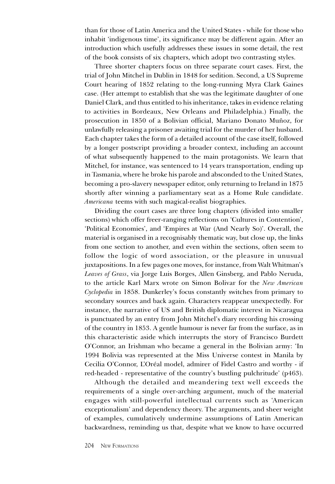than for those of Latin America and the United States - while for those who inhabit 'indigenous time', its significance may be different again. After an introduction which usefully addresses these issues in some detail, the rest of the book consists of six chapters, which adopt two contrasting styles.

Three shorter chapters focus on three separate court cases. First, the trial of John Mitchel in Dublin in 1848 for sedition. Second, a US Supreme Court hearing of 1852 relating to the long-running Myra Clark Gaines case. (Her attempt to establish that she was the legitimate daughter of one Daniel Clark, and thus entitled to his inheritance, takes in evidence relating to activities in Bordeaux, New Orleans and Philadelphia.) Finally, the prosecution in 1850 of a Bolivian official, Mariano Donato Muñoz, for unlawfully releasing a prisoner awaiting trial for the murder of her husband. Each chapter takes the form of a detailed account of the case itself, followed by a longer postscript providing a broader context, including an account of what subsequently happened to the main protagonists. We learn that Mitchel, for instance, was sentenced to 14 years transportation, ending up in Tasmania, where he broke his parole and absconded to the United States, becoming a pro-slavery newspaper editor, only returning to Ireland in 1875 shortly after winning a parliamentary seat as a Home Rule candidate. Americana teems with such magical-realist biographies.

Dividing the court cases are three long chapters (divided into smaller sections) which offer freer-ranging reflections on 'Cultures in Contention', 'Political Economies', and 'Empires at War (And Nearly So)'. Overall, the material is organised in a recognisably thematic way, but close up, the links from one section to another, and even within the sections, often seem to follow the logic of word association, or the pleasure in unusual juxtapositions. In a few pages one moves, for instance, from Walt Whitman's Leaves of Grass, via Jorge Luis Borges, Allen Ginsberg, and Pablo Neruda, to the article Karl Marx wrote on Simon Bolivar for the New American Cyclopedia in 1858. Dunkerley's focus constantly switches from primary to secondary sources and back again. Characters reappear unexpectedly. For instance, the narrative of US and British diplomatic interest in Nicaragua is punctuated by an entry from John Mitchel's diary recording his crossing of the country in 1853. A gentle humour is never far from the surface, as in this characteristic aside which interrupts the story of Francisco Burdett O'Connor, an Irishman who became a general in the Bolivian army: 'In 1994 Bolivia was represented at the Miss Universe contest in Manila by Cecilia O'Connor, L'Oréal model, admirer of Fidel Castro and worthy - if red-headed - representative of the country's bustling pulchritude' (p463).

Although the detailed and meandering text well exceeds the requirements of a single over-arching argument, much of the material engages with still-powerful intellectual currents such as American exceptionalism' and dependency theory. The arguments, and sheer weight of examples, cumulatively undermine assumptions of Latin American backwardness, reminding us that, despite what we know to have occurred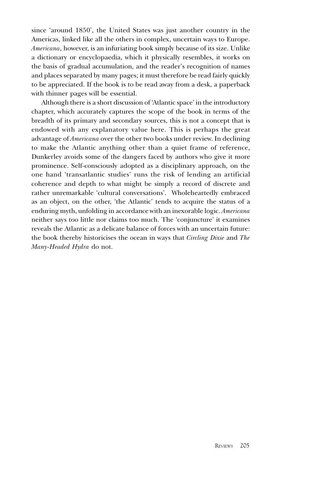since 'around 1850', the United States was just another country in the Americas, linked like all the others in complex, uncertain ways to Europe. Americana, however, is an infuriating book simply because of its size. Unlike a dictionary or encyclopaedia, which it physically resembles, it works on the basis of gradual accumulation, and the reader's recognition of names and places separated by many pages; it must therefore be read fairly quickly to be appreciated. If the book is to be read away from a desk, a paperback with thinner pages will be essential.

Although there is a short discussion of 'Atlantic space' in the introductory chapter, which accurately captures the scope of the book in terms of the breadth of its primary and secondary sources, this is not a concept that is endowed with any explanatory value here. This is perhaps the great advantage of Americana over the other two books under review. In declining to make the Atlantic anything other than a quiet frame of reference, Dunkerley avoids some of the dangers faced by authors who give it more prominence. Self-consciously adopted as a disciplinary approach, on the one hand 'transatlantic studies' runs the risk of lending an artificial coherence and depth to what might be simply a record of discrete and rather unremarkable 'cultural conversations'. Wholeheartedly embraced as an object, on the other, 'the Atlantic' tends to acquire the status of a enduring myth, unfolding in accordance with an inexorable logic. Americana neither says too little nor claims too much. The 'conjuncture' it examines reveals the Atlantic as a delicate balance of forces with an uncertain future: the book thereby historicises the ocean in ways that Circling Dixie and The Many-Headed Hydra do not.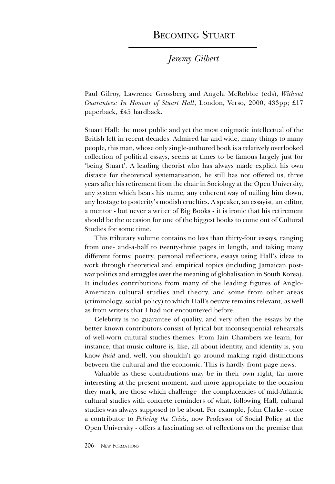### BECOMING STUART

### Jeremy Gilbert

Paul Gilroy, Lawrence Grossberg and Angela McRobbie (eds), Without Guarantees: In Honour of Stuart Hall, London, Verso, 2000, 433pp; £17 paperback, £45 hardback.

Stuart Hall: the most public and yet the most enigmatic intellectual of the British left in recent decades. Admired far and wide, many things to many people, this man, whose only single-authored book is a relatively overlooked collection of political essays, seems at times to be famous largely just for being Stuart. A leading theorist who has always made explicit his own distaste for theoretical systematisation, he still has not offered us, three years after his retirement from the chair in Sociology at the Open University, any system which bears his name, any coherent way of nailing him down, any hostage to posterity's modish cruelties. A speaker, an essayist, an editor, a mentor - but never a writer of Big Books - it is ironic that his retirement should be the occasion for one of the biggest books to come out of Cultural Studies for some time.

This tributary volume contains no less than thirty-four essays, ranging from one- and-a-half to twenty-three pages in length, and taking many different forms: poetry, personal reflections, essays using Hall's ideas to work through theoretical and empirical topics (including Jamaican postwar politics and struggles over the meaning of globalisation in South Korea). It includes contributions from many of the leading figures of Anglo-American cultural studies and theory, and some from other areas (criminology, social policy) to which Hall's oeuvre remains relevant, as well as from writers that I had not encountered before.

Celebrity is no guarantee of quality, and very often the essays by the better known contributors consist of lyrical but inconsequential rehearsals of well-worn cultural studies themes. From Iain Chambers we learn, for instance, that music culture is, like, all about identity, and identity is, you know *fluid* and, well, you shouldn't go around making rigid distinctions between the cultural and the economic. This is hardly front page news.

Valuable as these contributions may be in their own right, far more interesting at the present moment, and more appropriate to the occasion they mark, are those which challenge the complacencies of mid-Atlantic cultural studies with concrete reminders of what, following Hall, cultural studies was always supposed to be about. For example, John Clarke - once a contributor to Policing the Crisis, now Professor of Social Policy at the Open University - offers a fascinating set of reflections on the premise that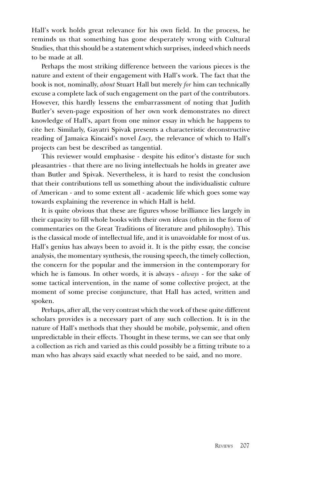Hall's work holds great relevance for his own field. In the process, he reminds us that something has gone desperately wrong with Cultural Studies, that this should be a statement which surprises, indeed which needs to be made at all.

Perhaps the most striking difference between the various pieces is the nature and extent of their engagement with Hall's work. The fact that the book is not, nominally, about Stuart Hall but merely for him can technically excuse a complete lack of such engagement on the part of the contributors. However, this hardly lessens the embarrassment of noting that Judith Butler's seven-page exposition of her own work demonstrates no direct knowledge of Hall's, apart from one minor essay in which he happens to cite her. Similarly, Gayatri Spivak presents a characteristic deconstructive reading of Jamaica Kincaid's novel  $Lucy$ , the relevance of which to Hall's projects can best be described as tangential.

This reviewer would emphasise - despite his editor's distaste for such pleasantries - that there are no living intellectuals he holds in greater awe than Butler and Spivak. Nevertheless, it is hard to resist the conclusion that their contributions tell us something about the individualistic culture of American - and to some extent all - academic life which goes some way towards explaining the reverence in which Hall is held.

It is quite obvious that these are figures whose brilliance lies largely in their capacity to fill whole books with their own ideas (often in the form of commentaries on the Great Traditions of literature and philosophy). This is the classical mode of intellectual life, and it is unavoidable for most of us. Hall's genius has always been to avoid it. It is the pithy essay, the concise analysis, the momentary synthesis, the rousing speech, the timely collection, the concern for the popular and the immersion in the contemporary for which he is famous. In other words, it is always - *always* - for the sake of some tactical intervention, in the name of some collective project, at the moment of some precise conjuncture, that Hall has acted, written and spoken.

Perhaps, after all, the very contrast which the work of these quite different scholars provides is a necessary part of any such collection. It is in the nature of Hall's methods that they should be mobile, polysemic, and often unpredictable in their effects. Thought in these terms, we can see that only a collection as rich and varied as this could possibly be a fitting tribute to a man who has always said exactly what needed to be said, and no more.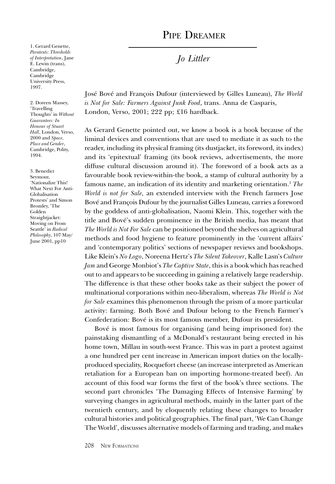## PIPE DREAMER

1. Gerard Genette, Paratexts: Thresholds of Interpretation, Jane E. Lewin (trans), Cambridge. Cambridge University Press, 1997.

2. Doreen Massey, Travelling Thoughts' in Without Guarantees: In Honour of Stuart Hall, London, Verso, 2000 and Space, Place and Gender, Cambridge, Polity, 1994.

3. Benedict Seymour, Nationalize This! What Next For Anti-Globalisation Protests' and Simon Bromley, The Golden Straightjacket: Moving on From Seattle' in Radical Philosophy, 107 May/ June  $2001$ , pp10

Jo Littler

José Bové and François Dufour (interviewed by Gilles Luneau), The World is Not for Sale: Farmers Against Junk Food, trans. Anna de Casparis, London, Verso, 2001; 222 pp; £16 hardback.

As Gerard Genette pointed out, we know a book is a book because of the liminal devices and conventions that are used to mediate it as such to the reader, including its physical framing (its dustjacket, its foreword, its index) and its 'epitextual' framing (its book reviews, advertisements, the more diffuse cultural discussion around it). The foreword of a book acts as a favourable book review-within-the book, a stamp of cultural authority by a famous name, an indication of its identity and marketing orientation.<sup>1</sup> The World is not for Sale, an extended interview with the French farmers Jose Bové and François Dufour by the journalist Gilles Luneau, carries a foreword by the goddess of anti-globalisation, Naomi Klein. This, together with the title and Bové's sudden prominence in the British media, has meant that The World is Not For Sale can be positioned beyond the shelves on agricultural methods and food hygiene to feature prominently in the 'current affairs' and 'contemporary politics' sections of newspaper reviews and bookshops. Like Klein's No Logo, Noreena Hertz's The Silent Takeover, Kalle Lasn's Culture Jam and George Monbiot's The Captive State, this is a book which has reached out to and appears to be succeeding in gaining a relatively large readership. The difference is that these other books take as their subject the power of multinational corporations within neo-liberalism, whereas The World is Not for Sale examines this phenomenon through the prism of a more particular activity: farming. Both Bové and Dufour belong to the French Farmer's Confederation: Bové is its most famous member, Dufour its president.

Bové is most famous for organising (and being imprisoned for) the painstaking dismantling of a McDonald's restaurant being erected in his home town, Millau in south-west France. This was in part a protest against a one hundred per cent increase in American import duties on the locallyproduced speciality, Rocquefort cheese (an increase interpreted as American retaliation for a European ban on importing hormone-treated beef). An account of this food war forms the first of the book's three sections. The second part chronicles 'The Damaging Effects of Intensive Farming' by surveying changes in agricultural methods, mainly in the latter part of the twentieth century, and by eloquently relating these changes to broader cultural histories and political geographies. The final part, We Can Change The World', discusses alternative models of farming and trading, and makes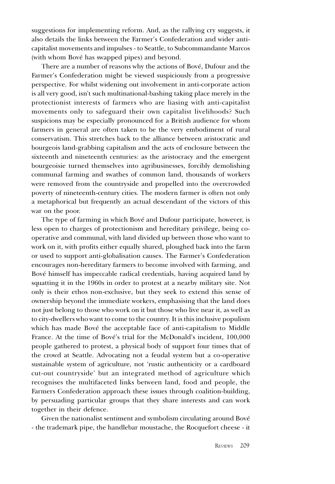suggestions for implementing reform. And, as the rallying cry suggests, it also details the links between the Farmer's Confederation and wider anticapitalist movements and impulses - to Seattle, to Subcommandante Marcos (with whom Bové has swapped pipes) and beyond.

There are a number of reasons why the actions of Bové, Dufour and the Farmer's Confederation might be viewed suspiciously from a progressive perspective. For whilst widening out involvement in anti-corporate action is all very good, isn't such multinational-bashing taking place merely in the protectionist interests of farmers who are liasing with anti-capitalist movements only to safeguard their own capitalist livelihoods? Such suspicions may be especially pronounced for a British audience for whom farmers in general are often taken to be the very embodiment of rural conservatism. This stretches back to the alliance between aristocratic and bourgeois land-grabbing capitalism and the acts of enclosure between the sixteenth and nineteenth centuries: as the aristocracy and the emergent bourgeoisie turned themselves into agribusinesses, forcibly demolishing communal farming and swathes of common land, thousands of workers were removed from the countryside and propelled into the overcrowded poverty of nineteenth-century cities. The modern farmer is often not only a metaphorical but frequently an actual descendant of the victors of this war on the poor.

The type of farming in which Bové and Dufour participate, however, is less open to charges of protectionism and hereditary privilege, being cooperative and communal, with land divided up between those who want to work on it, with profits either equally shared, ploughed back into the farm or used to support anti-globalisation causes. The Farmer's Confederation encourages non-hereditary farmers to become involved with farming, and Bové himself has impeccable radical credentials, having acquired land by squatting it in the 1960s in order to protest at a nearby military site. Not only is their ethos non-exclusive, but they seek to extend this sense of ownership beyond the immediate workers, emphasising that the land does not just belong to those who work on it but those who live near it, as well as to city-dwellers who want to come to the country. It is this inclusive populism which has made Bové the acceptable face of anti-capitalism to Middle France. At the time of Bové's trial for the McDonald's incident, 100,000 people gathered to protest, a physical body of support four times that of the crowd at Seattle. Advocating not a feudal system but a co-operative sustainable system of agriculture, not 'rustic authenticity or a cardboard cut-out countryside' but an integrated method of agriculture which recognises the multifaceted links between land, food and people, the Farmers Confederation approach these issues through coalition-building, by persuading particular groups that they share interests and can work together in their defence.

Given the nationalist sentiment and symbolism circulating around Bové - the trademark pipe, the handlebar moustache, the Rocquefort cheese - it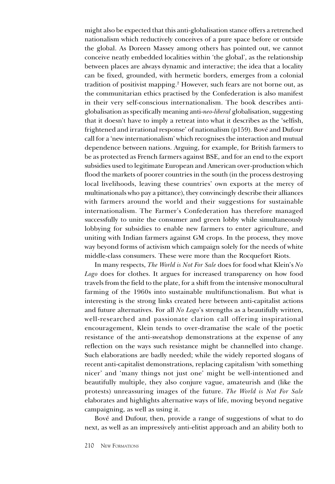might also be expected that this anti-globalisation stance offers a retrenched nationalism which reductively conceives of a pure space before or outside the global. As Doreen Massey among others has pointed out, we cannot conceive neatly embedded localities within 'the global', as the relationship between places are always dynamic and interactive; the idea that a locality can be fixed, grounded, with hermetic borders, emerges from a colonial tradition of positivist mapping.2 However, such fears are not borne out, as the communitarian ethics practised by the Confederation is also manifest in their very self-conscious internationalism. The book describes antiglobalisation as specifically meaning anti-neo-liberal globalisation, suggesting that it doesn't have to imply a retreat into what it describes as the 'selfish, frightened and irrational response' of nationalism ( $p159$ ). Bové and Dufour call for a 'new internationalism' which recognises the interaction and mutual dependence between nations. Arguing, for example, for British farmers to be as protected as French farmers against BSE, and for an end to the export subsidies used to legitimate European and American over-production which flood the markets of poorer countries in the south (in the process destroying local livelihoods, leaving these countries' own exports at the mercy of multinationals who pay a pittance), they convincingly describe their alliances with farmers around the world and their suggestions for sustainable internationalism. The Farmer's Confederation has therefore managed successfully to unite the consumer and green lobby while simultaneously lobbying for subsidies to enable new farmers to enter agriculture, and uniting with Indian farmers against GM crops. In the process, they move way beyond forms of activism which campaign solely for the needs of white middle-class consumers. These were more than the Rocquefort Riots.

In many respects, The World is Not For Sale does for food what Klein's No Logo does for clothes. It argues for increased transparency on how food travels from the field to the plate, for a shift from the intensive monocultural farming of the 1960s into sustainable multifunctionalism. But what is interesting is the strong links created here between anti-capitalist actions and future alternatives. For all  $No Logo's$  strengths as a beautifully written, well-researched and passionate clarion call offering inspirational encouragement, Klein tends to over-dramatise the scale of the poetic resistance of the anti-sweatshop demonstrations at the expense of any reflection on the ways such resistance might be channelled into change. Such elaborations are badly needed; while the widely reported slogans of recent anti-capitalist demonstrations, replacing capitalism 'with something nicer' and 'many things not just one' might be well-intentioned and beautifully multiple, they also conjure vague, amateurish and (like the protests) unreassuring images of the future. The World is Not For Sale elaborates and highlights alternative ways of life, moving beyond negative campaigning, as well as using it.

Bové and Dufour, then, provide a range of suggestions of what to do next, as well as an impressively anti-elitist approach and an ability both to